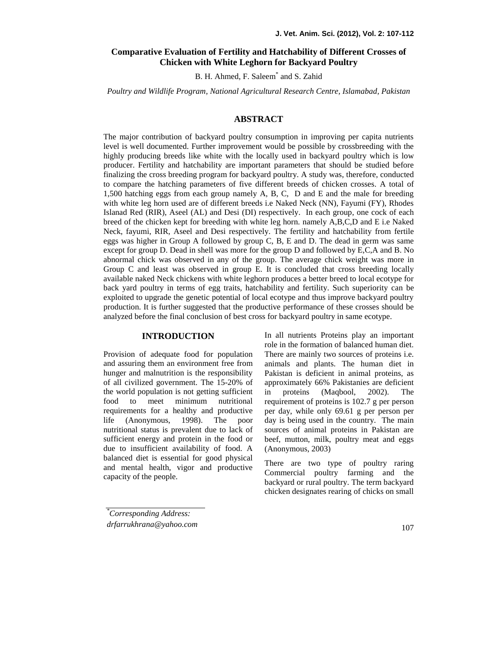# **Comparative Evaluation of Fertility and Hatchability of Different Crosses of Chicken with White Leghorn for Backyard Poultry**

B. H. Ahmed, F. Saleem\* and S. Zahid

*Poultry and Wildlife Program, National Agricultural Research Centre, Islamabad, Pakistan*

## **ABSTRACT**

The major contribution of backyard poultry consumption in improving per capita nutrients level is well documented. Further improvement would be possible by crossbreeding with the highly producing breeds like white with the locally used in backyard poultry which is low producer. Fertility and hatchability are important parameters that should be studied before finalizing the cross breeding program for backyard poultry. A study was, therefore, conducted to compare the hatching parameters of five different breeds of chicken crosses. A total of 1,500 hatching eggs from each group namely A, B, C, D and E and the male for breeding with white leg horn used are of different breeds i.e Naked Neck (NN), Fayumi (FY), Rhodes Islanad Red (RIR), Aseel (AL) and Desi (DI) respectively. In each group, one cock of each breed of the chicken kept for breeding with white leg horn. namely A,B,C,D and E i.e Naked Neck, fayumi, RIR, Aseel and Desi respectively. The fertility and hatchability from fertile eggs was higher in Group A followed by group C, B, E and D. The dead in germ was same except for group D. Dead in shell was more for the group D and followed by E,C,A and B. No abnormal chick was observed in any of the group. The average chick weight was more in Group C and least was observed in group E. It is concluded that cross breeding locally available naked Neck chickens with white leghorn produces a better breed to local ecotype for back yard poultry in terms of egg traits, hatchability and fertility. Such superiority can be exploited to upgrade the genetic potential of local ecotype and thus improve backyard poultry production. It is further suggested that the productive performance of these crosses should be analyzed before the final conclusion of best cross for backyard poultry in same ecotype.

#### **INTRODUCTION**

Provision of adequate food for population and assuring them an environment free from hunger and malnutrition is the responsibility of all civilized government. The 15-20% of the world population is not getting sufficient food to meet minimum nutritional requirements for a healthy and productive life (Anonymous, 1998). The poor nutritional status is prevalent due to lack of sufficient energy and protein in the food or due to insufficient availability of food. A balanced diet is essential for good physical and mental health, vigor and productive capacity of the people.

In all nutrients Proteins play an important role in the formation of balanced human diet. There are mainly two sources of proteins i.e. animals and plants. The human diet in Pakistan is deficient in animal proteins, as approximately 66% Pakistanies are deficient proteins (Maqbool, 2002). The requirement of proteins is 102.7 g per person per day, while only 69.61 g per person per day is being used in the country. The main sources of animal proteins in Pakistan are beef, mutton, milk, poultry meat and eggs (Anonymous, 2003)

There are two type of poultry raring Commercial poultry farming and the backyard or rural poultry. The term backyard chicken designates rearing of chicks on small

*\*Corresponding Address: drfarrukhrana@yahoo.com*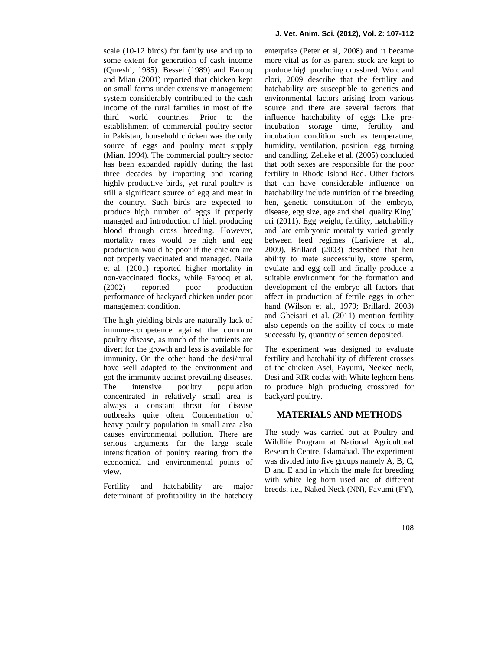scale (10-12 birds) for family use and up to some extent for generation of cash income (Qureshi, 1985). Bessei (1989) and Farooq and Mian (2001) reported that chicken kept on small farms under extensive management system considerably contributed to the cash income of the rural families in most of the third world countries. Prior to the establishment of commercial poultry sector in Pakistan, household chicken was the only source of eggs and poultry meat supply (Mian, 1994). The commercial poultry sector has been expanded rapidly during the last three decades by importing and rearing highly productive birds, yet rural poultry is still a significant source of egg and meat in the country. Such birds are expected to produce high number of eggs if properly managed and introduction of high producing blood through cross breeding. However, mortality rates would be high and egg production would be poor if the chicken are not properly vaccinated and managed. Naila et al. (2001) reported higher mortality in non-vaccinated flocks, while Farooq et al. (2002) reported poor production performance of backyard chicken under poor management condition.

The high yielding birds are naturally lack of immune-competence against the common poultry disease, as much of the nutrients are divert for the growth and less is available for immunity. On the other hand the desi/rural have well adapted to the environment and got the immunity against prevailing diseases. The intensive poultry population concentrated in relatively small area is always a constant threat for disease outbreaks quite often. Concentration of heavy poultry population in small area also causes environmental pollution. There are serious arguments for the large scale intensification of poultry rearing from the economical and environmental points of view.

Fertility and hatchability are major determinant of profitability in the hatchery

enterprise (Peter et al, 2008) and it became more vital as for as parent stock are kept to produce high producing crossbred. Wolc and clori, 2009 describe that the fertility and hatchability are susceptible to genetics and environmental factors arising from various source and there are several factors that influence hatchability of eggs like preincubation storage time, fertility and incubation condition such as temperature, humidity, ventilation, position, egg turning and candling. Zelleke et al. (2005) concluded that both sexes are responsible for the poor fertility in Rhode Island Red. Other factors that can have considerable influence on hatchability include nutrition of the breeding hen, genetic constitution of the embryo, disease, egg size, age and shell quality King' ori (2011). Egg weight, fertility, hatchability and late embryonic mortality varied greatly between feed regimes (Lariviere et al*.,* 2009). Brillard (2003) described that hen ability to mate successfully, store sperm, ovulate and egg cell and finally produce a suitable environment for the formation and development of the embryo all factors that affect in production of fertile eggs in other hand (Wilson et al., 1979; Brillard, 2003) and Gheisari et al. (2011) mention fertility also depends on the ability of cock to mate successfully, quantity of semen deposited.

The experiment was designed to evaluate fertility and hatchability of different crosses of the chicken Asel, Fayumi, Necked neck, Desi and RIR cocks with White leghorn hens to produce high producing crossbred for backyard poultry.

## **MATERIALS AND METHODS**

The study was carried out at Poultry and Wildlife Program at National Agricultural Research Centre, Islamabad. The experiment was divided into five groups namely A, B, C, D and E and in which the male for breeding with white leg horn used are of different breeds, i.e., Naked Neck (NN), Fayumi (FY),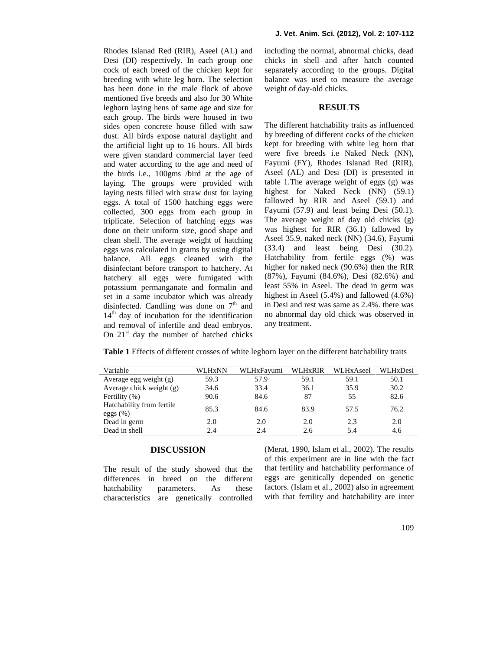Rhodes Islanad Red (RIR), Aseel (AL) and Desi (DI) respectively. In each group one cock of each breed of the chicken kept for breeding with white leg horn. The selection has been done in the male flock of above mentioned five breeds and also for 30 White leghorn laying hens of same age and size for each group. The birds were housed in two sides open concrete house filled with saw dust. All birds expose natural daylight and the artificial light up to 16 hours. All birds were given standard commercial layer feed and water according to the age and need of the birds i.e., 100gms /bird at the age of laying. The groups were provided with laying nests filled with straw dust for laying eggs. A total of 1500 hatching eggs were collected, 300 eggs from each group in triplicate. Selection of hatching eggs was done on their uniform size, good shape and clean shell. The average weight of hatching eggs was calculated in grams by using digital balance. All eggs cleaned with the disinfectant before transport to hatchery. At hatchery all eggs were fumigated with potassium permanganate and formalin and set in a same incubator which was already disinfected. Candling was done on  $7<sup>th</sup>$  and 14<sup>th</sup> day of incubation for the identification and removal of infertile and dead embryos. On  $21<sup>st</sup>$  day the number of hatched chicks

including the normal, abnormal chicks, dead chicks in shell and after hatch counted separately according to the groups. Digital balance was used to measure the average weight of day-old chicks.

#### **RESULTS**

The different hatchability traits as influenced by breeding of different cocks of the chicken kept for breeding with white leg horn that were five breeds i.e Naked Neck (NN), Fayumi (FY), Rhodes Islanad Red (RIR), Aseel (AL) and Desi (DI) is presented in table 1.The average weight of eggs (g) was highest for Naked Neck (NN) (59.1) fallowed by RIR and Aseel (59.1) and Fayumi (57.9) and least being Desi (50.1). The average weight of day old chicks (g) was highest for RIR (36.1) fallowed by Aseel 35.9, naked neck (NN) (34.6), Fayumi (33.4) and least being Desi (30.2). Hatchability from fertile eggs (%) was higher for naked neck (90.6%) then the RIR (87%), Fayumi (84.6%), Desi (82.6%) and least 55% in Aseel. The dead in germ was highest in Aseel (5.4%) and fallowed (4.6%) in Desi and rest was same as 2.4%. there was no abnormal day old chick was observed in any treatment.

**Table 1** Effects of different crosses of white leghorn layer on the different hatchability traits

| Variable                                 | WLHxNN | WLHxFavumi | <b>WLHxRIR</b> | WLHxAseel | WLHxDesi |
|------------------------------------------|--------|------------|----------------|-----------|----------|
| Average egg weight (g)                   | 59.3   | 57.9       | 59.1           | 59.1      | 50.1     |
| Average chick weight $(g)$               | 34.6   | 33.4       | 36.1           | 35.9      | 30.2     |
| Fertility $(\%)$                         | 90.6   | 84.6       | 87             | 55        | 82.6     |
| Hatchability from fertile<br>eggs $(\%)$ | 85.3   | 84.6       | 83.9           | 57.5      | 76.2     |
| Dead in germ                             | 2.0    | 2.0        | 2.0            | 2.3       | 2.0      |
| Dead in shell                            | 2.4    | 2.4        | 2.6            | 5.4       | 4.6      |
|                                          |        |            |                |           |          |

### **DISCUSSION**

The result of the study showed that the differences in breed on the different hatchability parameters. As these characteristics are genetically controlled

(Merat, 1990, Islam et al., 2002). The results of this experiment are in line with the fact that fertility and hatchability performance of eggs are genitically depended on genetic factors. (Islam et al., 2002) also in agreement with that fertility and hatchability are inter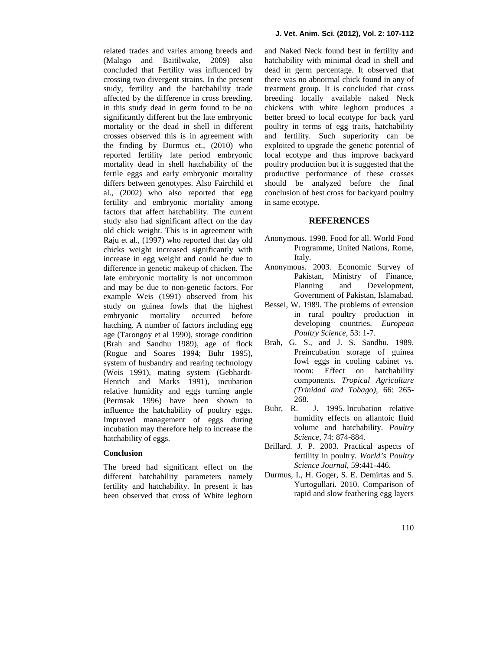related trades and varies among breeds and (Malago and Baitilwake, 2009) also concluded that Fertility was influenced by crossing two divergent strains. In the present study, fertility and the hatchability trade affected by the difference in cross breeding. in this study dead in germ found to be no significantly different but the late embryonic mortality or the dead in shell in different crosses observed this is in agreement with the finding by Durmus et., (2010) who reported fertility late period embryonic mortality dead in shell hatchability of the fertile eggs and early embryonic mortality differs between genotypes. Also Fairchild et al., (2002) who also reported that egg fertility and embryonic mortality among factors that affect hatchability. The current study also had significant affect on the day old chick weight. This is in agreement with Raju et al., (1997) who reported that day old chicks weight increased significantly with increase in egg weight and could be due to difference in genetic makeup of chicken. The late embryonic mortality is not uncommon and may be due to non-genetic factors. For example Weis (1991) observed from his study on guinea fowls that the highest embryonic mortality occurred before hatching. A number of factors including egg age (Tarongoy et al 1990), storage condition (Brah and Sandhu 1989), age of flock (Rogue and Soares 1994; Buhr 1995), system of husbandry and rearing technology (Weis 1991), mating system (Gebhardt- Henrich and Marks 1991), incubation relative humidity and eggs turning angle (Permsak 1996) have been shown to  $\frac{20}{2}$ <br>influence the hatchability of poultry eggs Buhr. R. influence the hatchability of poultry eggs. Improved management of eggs during incubation may therefore help to increase the hatchability of eggs.

#### **Conclusion**

The breed had significant effect on the different hatchability parameters namely fertility and hatchability. In present it has been observed that cross of White leghorn

and Naked Neck found best in fertility and hatchability with minimal dead in shell and dead in germ percentage. It observed that there was no abnormal chick found in any of treatment group. It is concluded that cross breeding locally available naked Neck chickens with white leghorn produces a better breed to local ecotype for back yard poultry in terms of egg traits, hatchability and fertility. Such superiority can be exploited to upgrade the genetic potential of local ecotype and thus improve backyard poultry production but it is suggested that the productive performance of these crosses should be analyzed before the final conclusion of best cross for backyard poultry in same ecotype.

### **REFERENCES**

- Anonymous. 1998. Food for all. World Food Programme, United Nations, Rome, Italy.
- Anonymous. 2003. Economic Survey of Pakistan, Ministry of Finance, Planning and Development, Government of Pakistan, Islamabad.
- Bessei, W. 1989. The problems of extension in rural poultry production in developing countries. *European Poultry Science,* 53: 1-7.
- Brah, G. S., and J. S. Sandhu. 1989. Preincubation storage of guinea fowl eggs in cooling cabinet vs. room: Effect on hatchability components. *Tropical Agriculture (Trinidad and Tobago),* 66: 265- 268.
- J. 1995. Incubation relative humidity effects on allantoic fluid volume and hatchability. *Poultry Science,* 74: 874-884.
- Brillard. J. P. 2003. Practical aspects of fertility in poultry. *World's Poultry Science Journal*, 59:441-446.
- Durmus, I., H. Goger, S. E. Demirtas and S. Yurtogullari. 2010. Comparison of rapid and slow feathering egg layers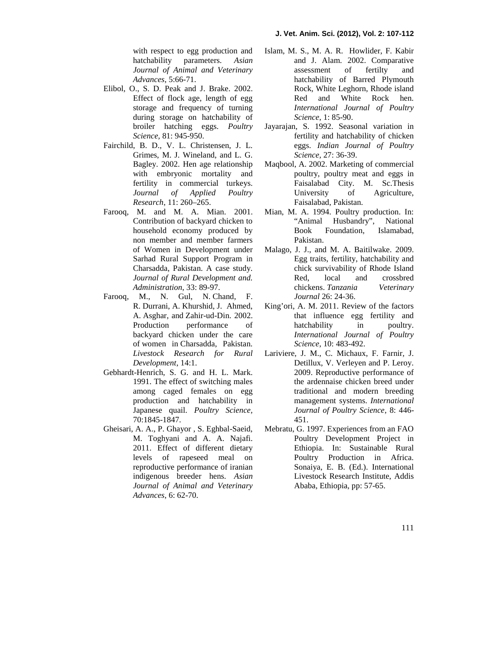with respect to egg production and hatchability parameters. *Asian Journal of Animal and Veterinary Advances*, 5:66-71.

- Elibol, O., S. D. Peak and J. Brake. 2002. Effect of flock age, length of egg storage and frequency of turning during storage on hatchability of broiler hatching eggs. *Poultry Science,* 81: 945-950.
- Fairchild, B. D., V. L. Christensen, J. L. Grimes, M. J. Wineland, and L. G. Bagley. 2002. Hen age relationship with embryonic mortality and fertility in commercial turkeys. *Journal of Applied Poultry Research*, 11: 260–265.
- Farooq, M. and M. A. Mian. 2001. Contribution of backyard chicken to household economy produced by non member and member farmers of Women in Development under Sarhad Rural Support Program in Charsadda, Pakistan. A case study. *Journal of Rural Development and. Administration*, 33: 89-97.
- Farooq, M., N. Gul, N. Chand, F. R. Durrani, A. Khurshid, J. Ahmed, A. Asghar, and Zahir-ud-Din. 2002. Production performance of backyard chicken under the care of women in Charsadda, Pakistan. *Livestock Research for Rural Development*, 14:1.
- Gebhardt-Henrich, S. G. and H. L. Mark. 1991. The effect of switching males among caged females on egg production and hatchability in Japanese quail. *Poultry Science,* 70:1845-1847.
- Gheisari, A. A., P. Ghayor , S. Eghbal-Saeid, M. Toghyani and A. A. Najafi. 2011. Effect of different dietary levels of rapeseed meal on reproductive performance of iranian indigenous breeder hens. *Asian Journal of Animal and Veterinary Advances*, 6: 62-70.
- Islam, M. S., M. A. R. Howlider, F. Kabir and J. Alam. 2002. Comparative assessment of fertilty and hatchability of Barred Plymouth Rock, White Leghorn, Rhode island Red and White Rock hen. *International Journal of Poultry Science*, 1: 85-90.
- Jayarajan, S. 1992. Seasonal variation in fertility and hatchability of chicken eggs. *Indian Journal of Poultry Science,* 27: 36-39.
- Maqbool, A. 2002. Marketing of commercial poultry, poultry meat and eggs in Faisalabad City. M. Sc.Thesis University of Agriculture, Faisalabad, Pakistan.
- Mian, M. A. 1994. Poultry production. In: "Animal Husbandry", National Foundation. Pakistan.
- Malago, J. J., and M. A. Baitilwake. 2009. Egg traits, fertility, hatchability and chick survivability of Rhode Island Red, local and crossbred chickens. *Tanzania Veterinary Journal* 26: 24-36.
- King'ori, A. M. 2011. Review of the factors that influence egg fertility and hatchability in poultry. *International Journal of Poultry Science*, 10: 483-492.
- Lariviere, J. M., C. Michaux, F. Farnir, J. Detillux, V. Verleyen and P. Leroy. 2009. Reproductive performance of the ardennaise chicken breed under traditional and modern breeding management systems. *International Journal of Poultry Science*, 8: 446- 451.
- Mebratu, G. 1997. Experiences from an FAO Poultry Development Project in Ethiopia. In: Sustainable Rural Poultry Production in Africa. Sonaiya, E. B. (Ed.). International Livestock Research Institute, Addis Ababa, Ethiopia, pp: 57-65.